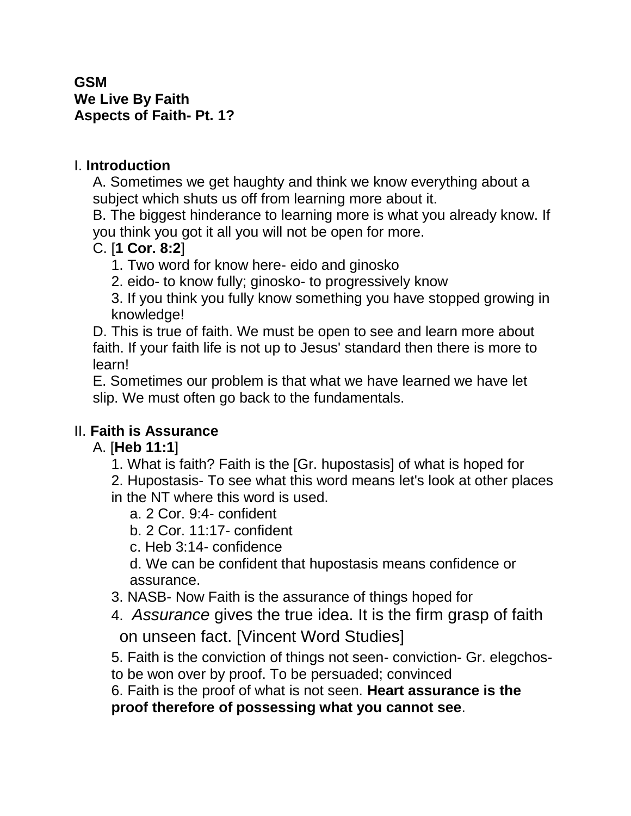#### **GSM We Live By Faith Aspects of Faith- Pt. 1?**

### I. **Introduction**

A. Sometimes we get haughty and think we know everything about a subject which shuts us off from learning more about it.

B. The biggest hinderance to learning more is what you already know. If you think you got it all you will not be open for more.

### C. [**1 Cor. 8:2**]

- 1. Two word for know here- eido and ginosko
- 2. eido- to know fully; ginosko- to progressively know

3. If you think you fully know something you have stopped growing in knowledge!

D. This is true of faith. We must be open to see and learn more about faith. If your faith life is not up to Jesus' standard then there is more to learn!

E. Sometimes our problem is that what we have learned we have let slip. We must often go back to the fundamentals.

### II. **Faith is Assurance**

# A. [**Heb 11:1**]

1. What is faith? Faith is the [Gr. hupostasis] of what is hoped for

2. Hupostasis- To see what this word means let's look at other places

- in the NT where this word is used.
	- a. 2 Cor. 9:4- confident
	- b. 2 Cor. 11:17- confident
	- c. Heb 3:14- confidence

d. We can be confident that hupostasis means confidence or assurance.

- 3. NASB- Now Faith is the assurance of things hoped for
- 4. *Assurance* gives the true idea. It is the firm grasp of faith on unseen fact. [Vincent Word Studies]
- 5. Faith is the conviction of things not seen- conviction- Gr. elegchos-
- to be won over by proof. To be persuaded; convinced
- 6. Faith is the proof of what is not seen. **Heart assurance is the**

**proof therefore of possessing what you cannot see**.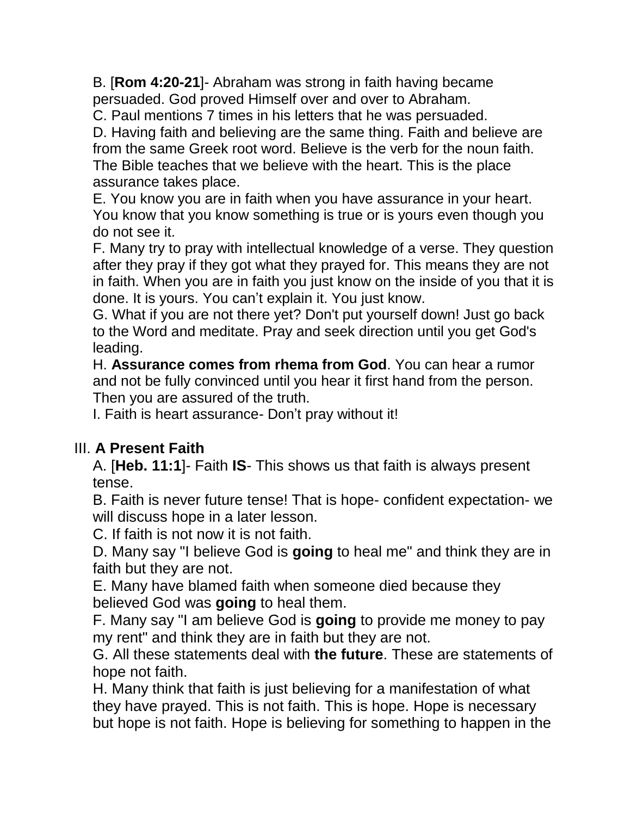B. [**Rom 4:20-21**]- Abraham was strong in faith having became persuaded. God proved Himself over and over to Abraham.

C. Paul mentions 7 times in his letters that he was persuaded.

D. Having faith and believing are the same thing. Faith and believe are from the same Greek root word. Believe is the verb for the noun faith. The Bible teaches that we believe with the heart. This is the place assurance takes place.

E. You know you are in faith when you have assurance in your heart. You know that you know something is true or is yours even though you do not see it.

F. Many try to pray with intellectual knowledge of a verse. They question after they pray if they got what they prayed for. This means they are not in faith. When you are in faith you just know on the inside of you that it is done. It is yours. You can't explain it. You just know.

G. What if you are not there yet? Don't put yourself down! Just go back to the Word and meditate. Pray and seek direction until you get God's leading.

H. **Assurance comes from rhema from God**. You can hear a rumor and not be fully convinced until you hear it first hand from the person. Then you are assured of the truth.

I. Faith is heart assurance- Don't pray without it!

# III. **A Present Faith**

A. [**Heb. 11:1**]- Faith **IS**- This shows us that faith is always present tense.

B. Faith is never future tense! That is hope- confident expectation- we will discuss hope in a later lesson.

C. If faith is not now it is not faith.

D. Many say "I believe God is **going** to heal me" and think they are in faith but they are not.

E. Many have blamed faith when someone died because they believed God was **going** to heal them.

F. Many say "I am believe God is **going** to provide me money to pay my rent" and think they are in faith but they are not.

G. All these statements deal with **the future**. These are statements of hope not faith.

H. Many think that faith is just believing for a manifestation of what they have prayed. This is not faith. This is hope. Hope is necessary but hope is not faith. Hope is believing for something to happen in the